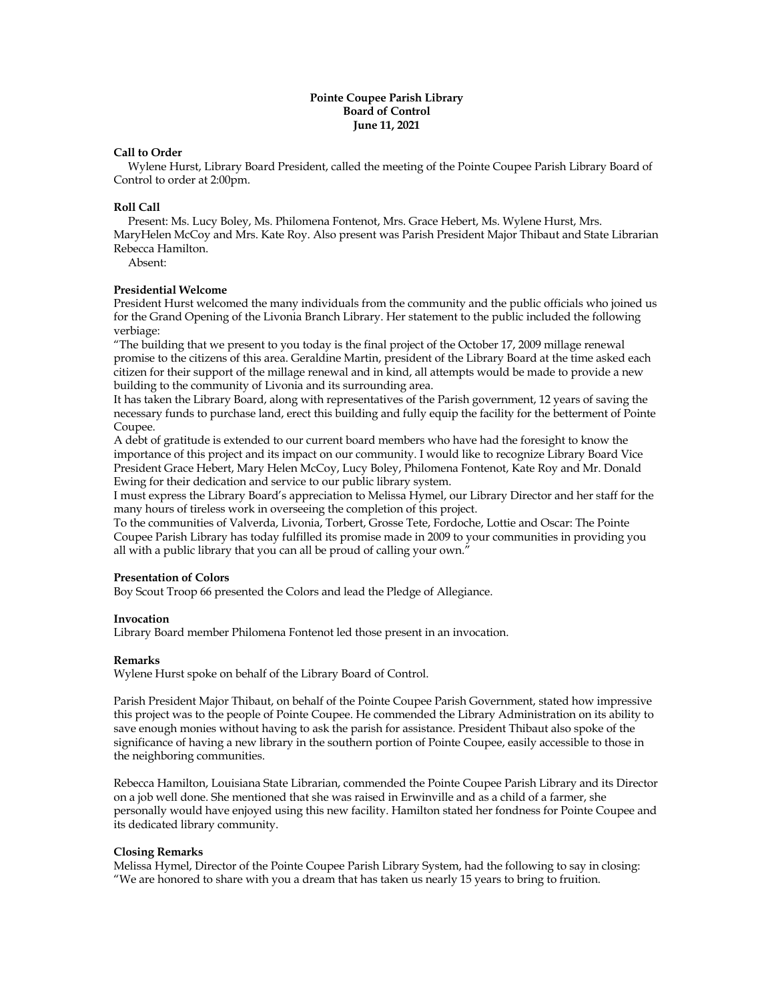# **Pointe Coupee Parish Library Board of Control June 11, 2021**

# **Call to Order**

 Wylene Hurst, Library Board President, called the meeting of the Pointe Coupee Parish Library Board of Control to order at 2:00pm.

### **Roll Call**

 Present: Ms. Lucy Boley, Ms. Philomena Fontenot, Mrs. Grace Hebert, Ms. Wylene Hurst, Mrs. MaryHelen McCoy and Mrs. Kate Roy. Also present was Parish President Major Thibaut and State Librarian Rebecca Hamilton.

Absent:

#### **Presidential Welcome**

President Hurst welcomed the many individuals from the community and the public officials who joined us for the Grand Opening of the Livonia Branch Library. Her statement to the public included the following verbiage:

"The building that we present to you today is the final project of the October 17, 2009 millage renewal promise to the citizens of this area. Geraldine Martin, president of the Library Board at the time asked each citizen for their support of the millage renewal and in kind, all attempts would be made to provide a new building to the community of Livonia and its surrounding area.

It has taken the Library Board, along with representatives of the Parish government, 12 years of saving the necessary funds to purchase land, erect this building and fully equip the facility for the betterment of Pointe Coupee.

A debt of gratitude is extended to our current board members who have had the foresight to know the importance of this project and its impact on our community. I would like to recognize Library Board Vice President Grace Hebert, Mary Helen McCoy, Lucy Boley, Philomena Fontenot, Kate Roy and Mr. Donald Ewing for their dedication and service to our public library system.

I must express the Library Board's appreciation to Melissa Hymel, our Library Director and her staff for the many hours of tireless work in overseeing the completion of this project.

To the communities of Valverda, Livonia, Torbert, Grosse Tete, Fordoche, Lottie and Oscar: The Pointe Coupee Parish Library has today fulfilled its promise made in 2009 to your communities in providing you all with a public library that you can all be proud of calling your own."

#### **Presentation of Colors**

Boy Scout Troop 66 presented the Colors and lead the Pledge of Allegiance.

#### **Invocation**

Library Board member Philomena Fontenot led those present in an invocation.

#### **Remarks**

Wylene Hurst spoke on behalf of the Library Board of Control.

Parish President Major Thibaut, on behalf of the Pointe Coupee Parish Government, stated how impressive this project was to the people of Pointe Coupee. He commended the Library Administration on its ability to save enough monies without having to ask the parish for assistance. President Thibaut also spoke of the significance of having a new library in the southern portion of Pointe Coupee, easily accessible to those in the neighboring communities.

Rebecca Hamilton, Louisiana State Librarian, commended the Pointe Coupee Parish Library and its Director on a job well done. She mentioned that she was raised in Erwinville and as a child of a farmer, she personally would have enjoyed using this new facility. Hamilton stated her fondness for Pointe Coupee and its dedicated library community.

# **Closing Remarks**

Melissa Hymel, Director of the Pointe Coupee Parish Library System, had the following to say in closing: "We are honored to share with you a dream that has taken us nearly 15 years to bring to fruition.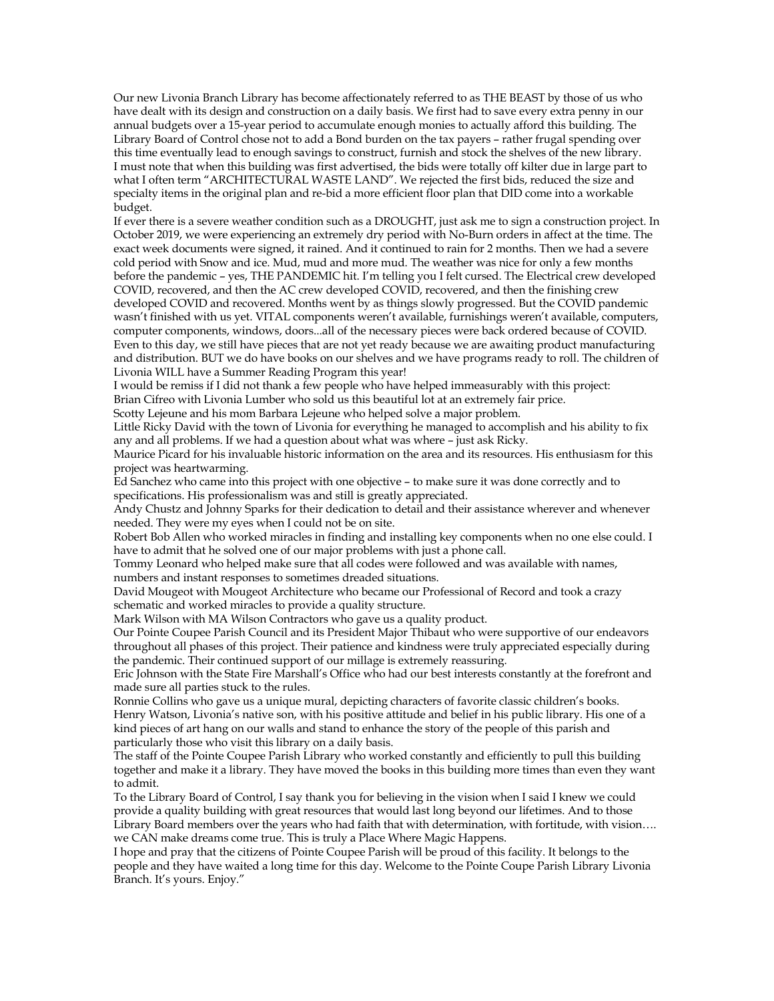Our new Livonia Branch Library has become affectionately referred to as THE BEAST by those of us who have dealt with its design and construction on a daily basis. We first had to save every extra penny in our annual budgets over a 15-year period to accumulate enough monies to actually afford this building. The Library Board of Control chose not to add a Bond burden on the tax payers – rather frugal spending over this time eventually lead to enough savings to construct, furnish and stock the shelves of the new library. I must note that when this building was first advertised, the bids were totally off kilter due in large part to what I often term "ARCHITECTURAL WASTE LAND". We rejected the first bids, reduced the size and specialty items in the original plan and re-bid a more efficient floor plan that DID come into a workable budget.

If ever there is a severe weather condition such as a DROUGHT, just ask me to sign a construction project. In October 2019, we were experiencing an extremely dry period with No-Burn orders in affect at the time. The exact week documents were signed, it rained. And it continued to rain for 2 months. Then we had a severe cold period with Snow and ice. Mud, mud and more mud. The weather was nice for only a few months before the pandemic – yes, THE PANDEMIC hit. I'm telling you I felt cursed. The Electrical crew developed COVID, recovered, and then the AC crew developed COVID, recovered, and then the finishing crew developed COVID and recovered. Months went by as things slowly progressed. But the COVID pandemic wasn't finished with us yet. VITAL components weren't available, furnishings weren't available, computers, computer components, windows, doors...all of the necessary pieces were back ordered because of COVID. Even to this day, we still have pieces that are not yet ready because we are awaiting product manufacturing and distribution. BUT we do have books on our shelves and we have programs ready to roll. The children of Livonia WILL have a Summer Reading Program this year!

I would be remiss if I did not thank a few people who have helped immeasurably with this project: Brian Cifreo with Livonia Lumber who sold us this beautiful lot at an extremely fair price.

Scotty Lejeune and his mom Barbara Lejeune who helped solve a major problem.

Little Ricky David with the town of Livonia for everything he managed to accomplish and his ability to fix any and all problems. If we had a question about what was where – just ask Ricky.

Maurice Picard for his invaluable historic information on the area and its resources. His enthusiasm for this project was heartwarming.

Ed Sanchez who came into this project with one objective – to make sure it was done correctly and to specifications. His professionalism was and still is greatly appreciated.

Andy Chustz and Johnny Sparks for their dedication to detail and their assistance wherever and whenever needed. They were my eyes when I could not be on site.

Robert Bob Allen who worked miracles in finding and installing key components when no one else could. I have to admit that he solved one of our major problems with just a phone call.

Tommy Leonard who helped make sure that all codes were followed and was available with names, numbers and instant responses to sometimes dreaded situations.

David Mougeot with Mougeot Architecture who became our Professional of Record and took a crazy schematic and worked miracles to provide a quality structure.

Mark Wilson with MA Wilson Contractors who gave us a quality product.

Our Pointe Coupee Parish Council and its President Major Thibaut who were supportive of our endeavors throughout all phases of this project. Their patience and kindness were truly appreciated especially during the pandemic. Their continued support of our millage is extremely reassuring.

Eric Johnson with the State Fire Marshall's Office who had our best interests constantly at the forefront and made sure all parties stuck to the rules.

Ronnie Collins who gave us a unique mural, depicting characters of favorite classic children's books. Henry Watson, Livonia's native son, with his positive attitude and belief in his public library. His one of a kind pieces of art hang on our walls and stand to enhance the story of the people of this parish and particularly those who visit this library on a daily basis.

The staff of the Pointe Coupee Parish Library who worked constantly and efficiently to pull this building together and make it a library. They have moved the books in this building more times than even they want to admit.

To the Library Board of Control, I say thank you for believing in the vision when I said I knew we could provide a quality building with great resources that would last long beyond our lifetimes. And to those Library Board members over the years who had faith that with determination, with fortitude, with vision…. we CAN make dreams come true. This is truly a Place Where Magic Happens.

I hope and pray that the citizens of Pointe Coupee Parish will be proud of this facility. It belongs to the people and they have waited a long time for this day. Welcome to the Pointe Coupe Parish Library Livonia Branch. It's yours. Enjoy."